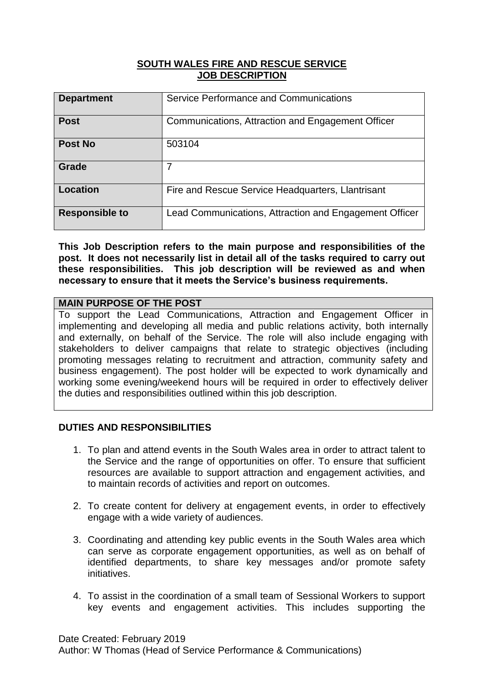#### **SOUTH WALES FIRE AND RESCUE SERVICE JOB DESCRIPTION**

| <b>Department</b>     | Service Performance and Communications                 |
|-----------------------|--------------------------------------------------------|
| <b>Post</b>           | Communications, Attraction and Engagement Officer      |
| Post No               | 503104                                                 |
| Grade                 | 7                                                      |
| Location              | Fire and Rescue Service Headquarters, Llantrisant      |
| <b>Responsible to</b> | Lead Communications, Attraction and Engagement Officer |

**This Job Description refers to the main purpose and responsibilities of the post. It does not necessarily list in detail all of the tasks required to carry out these responsibilities. This job description will be reviewed as and when necessary to ensure that it meets the Service's business requirements.**

## **MAIN PURPOSE OF THE POST**

To support the Lead Communications, Attraction and Engagement Officer in implementing and developing all media and public relations activity, both internally and externally, on behalf of the Service. The role will also include engaging with stakeholders to deliver campaigns that relate to strategic objectives (including promoting messages relating to recruitment and attraction, community safety and business engagement). The post holder will be expected to work dynamically and working some evening/weekend hours will be required in order to effectively deliver the duties and responsibilities outlined within this job description.

# **DUTIES AND RESPONSIBILITIES**

- 1. To plan and attend events in the South Wales area in order to attract talent to the Service and the range of opportunities on offer. To ensure that sufficient resources are available to support attraction and engagement activities, and to maintain records of activities and report on outcomes.
- 2. To create content for delivery at engagement events, in order to effectively engage with a wide variety of audiences.
- 3. Coordinating and attending key public events in the South Wales area which can serve as corporate engagement opportunities, as well as on behalf of identified departments, to share key messages and/or promote safety initiatives.
- 4. To assist in the coordination of a small team of Sessional Workers to support key events and engagement activities. This includes supporting the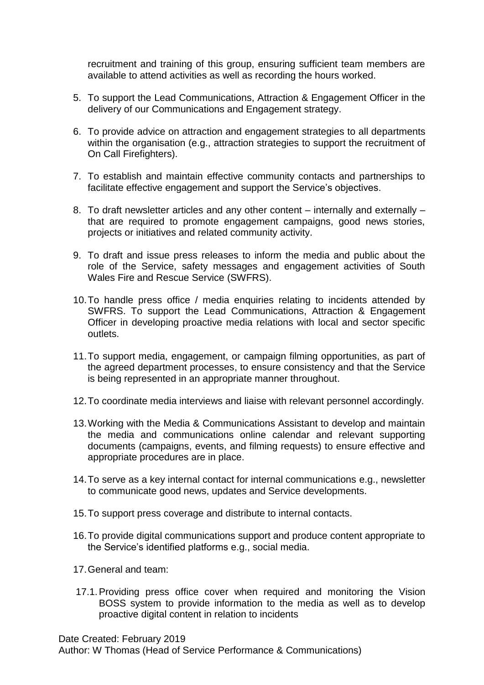recruitment and training of this group, ensuring sufficient team members are available to attend activities as well as recording the hours worked.

- 5. To support the Lead Communications, Attraction & Engagement Officer in the delivery of our Communications and Engagement strategy.
- 6. To provide advice on attraction and engagement strategies to all departments within the organisation (e.g., attraction strategies to support the recruitment of On Call Firefighters).
- 7. To establish and maintain effective community contacts and partnerships to facilitate effective engagement and support the Service's objectives.
- 8. To draft newsletter articles and any other content internally and externally that are required to promote engagement campaigns, good news stories, projects or initiatives and related community activity.
- 9. To draft and issue press releases to inform the media and public about the role of the Service, safety messages and engagement activities of South Wales Fire and Rescue Service (SWFRS).
- 10.To handle press office / media enquiries relating to incidents attended by SWFRS. To support the Lead Communications, Attraction & Engagement Officer in developing proactive media relations with local and sector specific outlets.
- 11.To support media, engagement, or campaign filming opportunities, as part of the agreed department processes, to ensure consistency and that the Service is being represented in an appropriate manner throughout.
- 12.To coordinate media interviews and liaise with relevant personnel accordingly.
- 13.Working with the Media & Communications Assistant to develop and maintain the media and communications online calendar and relevant supporting documents (campaigns, events, and filming requests) to ensure effective and appropriate procedures are in place.
- 14.To serve as a key internal contact for internal communications e.g., newsletter to communicate good news, updates and Service developments.
- 15.To support press coverage and distribute to internal contacts.
- 16.To provide digital communications support and produce content appropriate to the Service's identified platforms e.g., social media.
- 17.General and team:
- 17.1.Providing press office cover when required and monitoring the Vision BOSS system to provide information to the media as well as to develop proactive digital content in relation to incidents